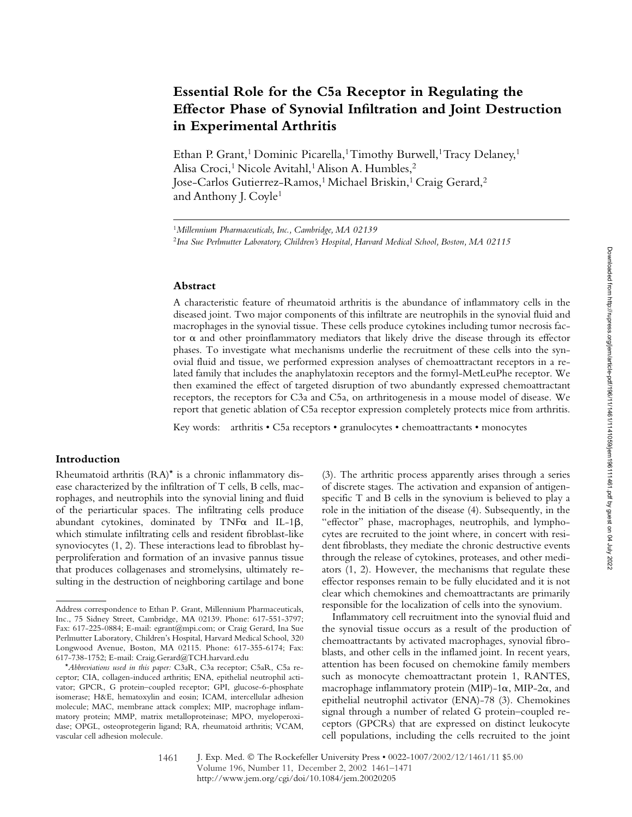# **Essential Role for the C5a Receptor in Regulating the Effector Phase of Synovial Infiltration and Joint Destruction in Experimental Arthritis**

Ethan P. Grant,<sup>1</sup> Dominic Picarella,<sup>1</sup> Timothy Burwell,<sup>1</sup> Tracy Delaney,<sup>1</sup> Alisa Croci,<sup>1</sup> Nicole Avitahl,<sup>1</sup> Alison A. Humbles,<sup>2</sup> Jose-Carlos Gutierrez-Ramos,<sup>1</sup> Michael Briskin,<sup>1</sup> Craig Gerard,<sup>2</sup> and Anthony J. Coyle1

#### **Abstract**

A characteristic feature of rheumatoid arthritis is the abundance of inflammatory cells in the diseased joint. Two major components of this infiltrate are neutrophils in the synovial fluid and macrophages in the synovial tissue. These cells produce cytokines including tumor necrosis factor  $\alpha$  and other proinflammatory mediators that likely drive the disease through its effector phases. To investigate what mechanisms underlie the recruitment of these cells into the synovial fluid and tissue, we performed expression analyses of chemoattractant receptors in a related family that includes the anaphylatoxin receptors and the formyl-MetLeuPhe receptor. We then examined the effect of targeted disruption of two abundantly expressed chemoattractant receptors, the receptors for C3a and C5a, on arthritogenesis in a mouse model of disease. We report that genetic ablation of C5a receptor expression completely protects mice from arthritis.

Key words: arthritis • C5a receptors • granulocytes • chemoattractants • monocytes

## **Introduction**

Rheumatoid arthritis (RA)\* is a chronic inflammatory disease characterized by the infiltration of T cells, B cells, macrophages, and neutrophils into the synovial lining and fluid of the periarticular spaces. The infiltrating cells produce abundant cytokines, dominated by  $TNF\alpha$  and IL-1 $\beta$ , which stimulate infiltrating cells and resident fibroblast-like synoviocytes (1, 2). These interactions lead to fibroblast hyperproliferation and formation of an invasive pannus tissue that produces collagenases and stromelysins, ultimately resulting in the destruction of neighboring cartilage and bone

(3). The arthritic process apparently arises through a series of discrete stages. The activation and expansion of antigenspecific T and B cells in the synovium is believed to play a role in the initiation of the disease (4). Subsequently, in the "effector" phase, macrophages, neutrophils, and lymphocytes are recruited to the joint where, in concert with resident fibroblasts, they mediate the chronic destructive events through the release of cytokines, proteases, and other mediators (1, 2). However, the mechanisms that regulate these effector responses remain to be fully elucidated and it is not clear which chemokines and chemoattractants are primarily responsible for the localization of cells into the synovium.

Inflammatory cell recruitment into the synovial fluid and the synovial tissue occurs as a result of the production of chemoattractants by activated macrophages, synovial fibroblasts, and other cells in the inflamed joint. In recent years, attention has been focused on chemokine family members such as monocyte chemoattractant protein 1, RANTES, macrophage inflammatory protein (MIP)-1 $\alpha$ , MIP-2 $\alpha$ , and epithelial neutrophil activator (ENA)-78 (3). Chemokines signal through a number of related G protein–coupled receptors (GPCRs) that are expressed on distinct leukocyte cell populations, including the cells recruited to the joint

<sup>1</sup>*Millennium Pharmaceuticals, Inc., Cambridge, MA 02139* <sup>2</sup>*Ina Sue Perlmutter Laboratory, Children's Hospital, Harvard Medical School, Boston, MA 02115*

Address correspondence to Ethan P. Grant, Millennium Pharmaceuticals, Inc., 75 Sidney Street, Cambridge, MA 02139. Phone: 617-551-3797; Fax: 617-225-0884; E-mail: egrant@mpi.com; or Craig Gerard, Ina Sue Perlmutter Laboratory, Children's Hospital, Harvard Medical School, 320 Longwood Avenue, Boston, MA 02115. Phone: 617-355-6174; Fax: 617-738-1752; E-mail: Craig.Gerard@TCH.harvard.edu

<sup>\*</sup>*Abbreviations used in this paper:* C3aR, C3a receptor; C5aR, C5a receptor; CIA, collagen-induced arthritis; ENA, epithelial neutrophil activator; GPCR, G protein–coupled receptor; GPI, glucose-6-phosphate isomerase; H&E, hematoxylin and eosin; ICAM, intercellular adhesion molecule; MAC, membrane attack complex; MIP, macrophage inflammatory protein; MMP, matrix metalloproteinase; MPO, myeloperoxidase; OPGL, osteoprotegerin ligand; RA, rheumatoid arthritis; VCAM, vascular cell adhesion molecule.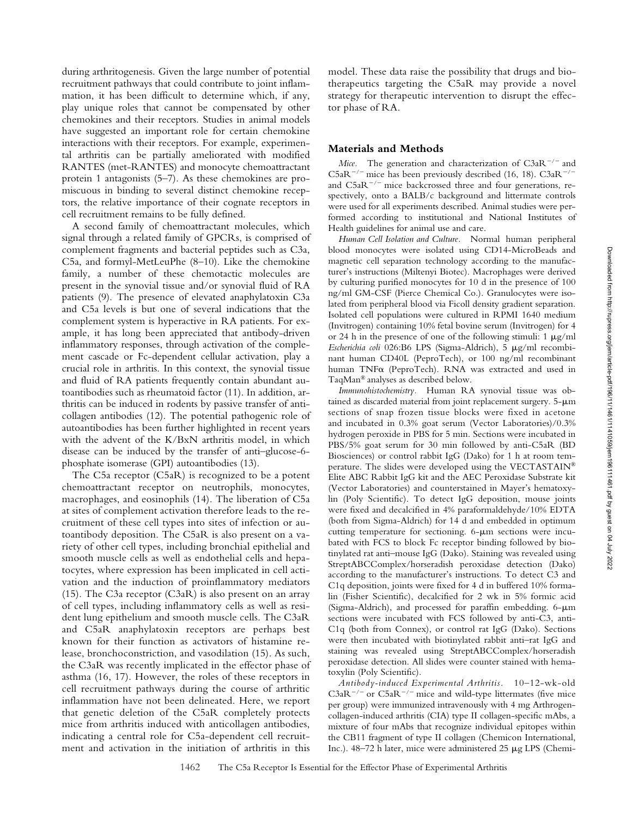during arthritogenesis. Given the large number of potential recruitment pathways that could contribute to joint inflammation, it has been difficult to determine which, if any, play unique roles that cannot be compensated by other chemokines and their receptors. Studies in animal models have suggested an important role for certain chemokine interactions with their receptors. For example, experimental arthritis can be partially ameliorated with modified RANTES (met-RANTES) and monocyte chemoattractant protein 1 antagonists (5–7). As these chemokines are promiscuous in binding to several distinct chemokine receptors, the relative importance of their cognate receptors in cell recruitment remains to be fully defined.

A second family of chemoattractant molecules, which signal through a related family of GPCRs, is comprised of complement fragments and bacterial peptides such as C3a, C5a, and formyl-MetLeuPhe (8–10). Like the chemokine family, a number of these chemotactic molecules are present in the synovial tissue and/or synovial fluid of RA patients (9). The presence of elevated anaphylatoxin C3a and C5a levels is but one of several indications that the complement system is hyperactive in RA patients. For example, it has long been appreciated that antibody-driven inflammatory responses, through activation of the complement cascade or Fc-dependent cellular activation, play a crucial role in arthritis. In this context, the synovial tissue and fluid of RA patients frequently contain abundant autoantibodies such as rheumatoid factor (11). In addition, arthritis can be induced in rodents by passive transfer of anticollagen antibodies (12). The potential pathogenic role of autoantibodies has been further highlighted in recent years with the advent of the K/BxN arthritis model, in which disease can be induced by the transfer of anti–glucose-6 phosphate isomerase (GPI) autoantibodies (13).

The C5a receptor (C5aR) is recognized to be a potent chemoattractant receptor on neutrophils, monocytes, macrophages, and eosinophils (14). The liberation of C5a at sites of complement activation therefore leads to the recruitment of these cell types into sites of infection or autoantibody deposition. The C5aR is also present on a variety of other cell types, including bronchial epithelial and smooth muscle cells as well as endothelial cells and hepatocytes, where expression has been implicated in cell activation and the induction of proinflammatory mediators (15). The C3a receptor (C3aR) is also present on an array of cell types, including inflammatory cells as well as resident lung epithelium and smooth muscle cells. The C3aR and C5aR anaphylatoxin receptors are perhaps best known for their function as activators of histamine release, bronchoconstriction, and vasodilation (15). As such, the C3aR was recently implicated in the effector phase of asthma (16, 17). However, the roles of these receptors in cell recruitment pathways during the course of arthritic inflammation have not been delineated. Here, we report that genetic deletion of the C5aR completely protects mice from arthritis induced with anticollagen antibodies, indicating a central role for C5a-dependent cell recruitment and activation in the initiation of arthritis in this

model. These data raise the possibility that drugs and biotherapeutics targeting the C5aR may provide a novel strategy for therapeutic intervention to disrupt the effector phase of RA.

### **Materials and Methods**

*Mice.* The generation and characterization of  $C3aR^{-/-}$  and  $C5aR^{-/-}$  mice has been previously described (16, 18).  $C3aR^{-/-}$ and  $C5aR^{-/-}$  mice backcrossed three and four generations, respectively, onto a BALB/c background and littermate controls were used for all experiments described. Animal studies were performed according to institutional and National Institutes of Health guidelines for animal use and care.

*Human Cell Isolation and Culture.* Normal human peripheral blood monocytes were isolated using CD14-MicroBeads and magnetic cell separation technology according to the manufacturer's instructions (Miltenyi Biotec). Macrophages were derived by culturing purified monocytes for 10 d in the presence of 100 ng/ml GM-CSF (Pierce Chemical Co.). Granulocytes were isolated from peripheral blood via Ficoll density gradient separation. Isolated cell populations were cultured in RPMI 1640 medium (Invitrogen) containing 10% fetal bovine serum (Invitrogen) for 4 or 24 h in the presence of one of the following stimuli:  $1 \mu g/ml$ Escherichia coli 026:B6 LPS (Sigma-Aldrich), 5 µg/ml recombinant human CD40L (PeproTech), or 100 ng/ml recombinant human TNF $\alpha$  (PeproTech). RNA was extracted and used in TaqMan® analyses as described below.

*Immunohistochemistry.* Human RA synovial tissue was obtained as discarded material from joint replacement surgery.  $5-\mu m$ sections of snap frozen tissue blocks were fixed in acetone and incubated in 0.3% goat serum (Vector Laboratories)/0.3% hydrogen peroxide in PBS for 5 min. Sections were incubated in PBS/5% goat serum for 30 min followed by anti-C5aR (BD Biosciences) or control rabbit IgG (Dako) for 1 h at room temperature. The slides were developed using the VECTASTAIN® Elite ABC Rabbit IgG kit and the AEC Peroxidase Substrate kit (Vector Laboratories) and counterstained in Mayer's hematoxylin (Poly Scientific). To detect IgG deposition, mouse joints were fixed and decalcified in 4% paraformaldehyde/10% EDTA (both from Sigma-Aldrich) for 14 d and embedded in optimum cutting temperature for sectioning. 6-um sections were incubated with FCS to block Fc receptor binding followed by biotinylated rat anti–mouse IgG (Dako). Staining was revealed using StreptABCComplex/horseradish peroxidase detection (Dako) according to the manufacturer's instructions. To detect C3 and C1q deposition, joints were fixed for 4 d in buffered 10% formalin (Fisher Scientific), decalcified for 2 wk in 5% formic acid (Sigma-Aldrich), and processed for paraffin embedding.  $6-\mu m$ sections were incubated with FCS followed by anti-C3, anti-C1q (both from Connex), or control rat IgG (Dako). Sections were then incubated with biotinylated rabbit anti–rat IgG and staining was revealed using StreptABCComplex/horseradish peroxidase detection. All slides were counter stained with hematoxylin (Poly Scientific).

*Antibody-induced Experimental Arthritis.* 10–12-wk-old  $C3aR^{-/-}$  or  $C5aR^{-/-}$  mice and wild-type littermates (five mice per group) were immunized intravenously with 4 mg Arthrogencollagen-induced arthritis (CIA) type II collagen-specific mAbs, a mixture of four mAbs that recognize individual epitopes within the CB11 fragment of type II collagen (Chemicon International, Inc.).  $48-72$  h later, mice were administered  $25 \mu g$  LPS (Chemi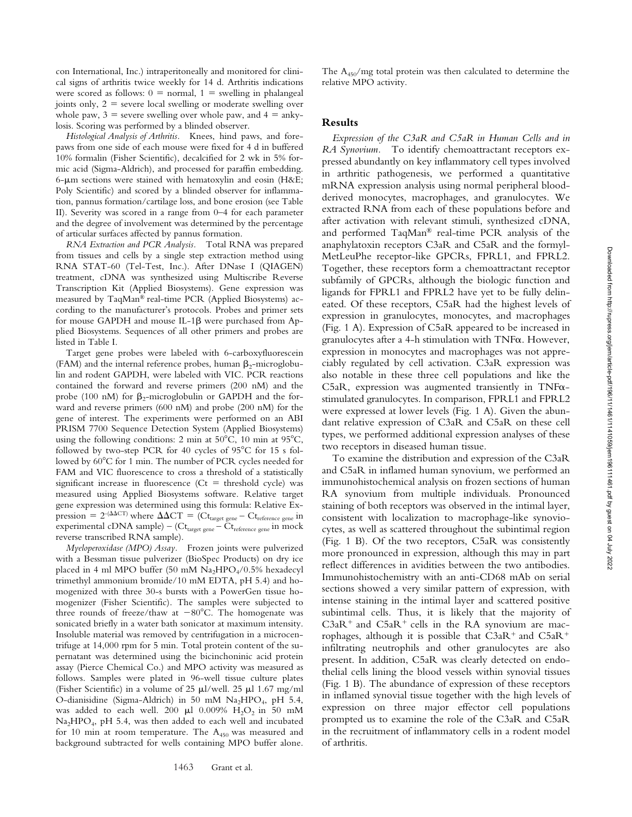con International, Inc.) intraperitoneally and monitored for clinical signs of arthritis twice weekly for 14 d. Arthritis indications were scored as follows:  $0 =$  normal,  $1 =$  swelling in phalangeal joints only,  $2 =$  severe local swelling or moderate swelling over whole paw,  $3$  = severe swelling over whole paw, and  $4 = \text{anky}$ losis. Scoring was performed by a blinded observer.

*Histological Analysis of Arthritis.* Knees, hind paws, and forepaws from one side of each mouse were fixed for 4 d in buffered 10% formalin (Fisher Scientific), decalcified for 2 wk in 5% formic acid (Sigma-Aldrich), and processed for paraffin embedding.  $6-\mu m$  sections were stained with hematoxylin and eosin (H&E; Poly Scientific) and scored by a blinded observer for inflammation, pannus formation/cartilage loss, and bone erosion (see Table II). Severity was scored in a range from 0–4 for each parameter and the degree of involvement was determined by the percentage of articular surfaces affected by pannus formation.

*RNA Extraction and PCR Analysis.* Total RNA was prepared from tissues and cells by a single step extraction method using RNA STAT-60 (Tel-Test, Inc.). After DNase I (QIAGEN) treatment, cDNA was synthesized using Multiscribe Reverse Transcription Kit (Applied Biosystems). Gene expression was measured by TaqMan® real-time PCR (Applied Biosystems) according to the manufacturer's protocols. Probes and primer sets for mouse GAPDH and mouse IL-1 $\beta$  were purchased from Applied Biosystems. Sequences of all other primers and probes are listed in Table I.

Target gene probes were labeled with 6-carboxyfluorescein (FAM) and the internal reference probes, human  $\beta_2$ -microglobulin and rodent GAPDH, were labeled with VIC. PCR reactions contained the forward and reverse primers (200 nM) and the probe (100 nM) for  $\beta_2$ -microglobulin or GAPDH and the forward and reverse primers (600 nM) and probe (200 nM) for the gene of interest. The experiments were performed on an ABI PRISM 7700 Sequence Detection System (Applied Biosystems) using the following conditions: 2 min at  $50^{\circ}$ C, 10 min at  $95^{\circ}$ C, followed by two-step PCR for 40 cycles of 95°C for 15 s followed by  $60^{\circ}$ C for 1 min. The number of PCR cycles needed for FAM and VIC fluorescence to cross a threshold of a statistically significant increase in fluorescence ( $Ct =$  threshold cycle) was measured using Applied Biosystems software. Relative target gene expression was determined using this formula: Relative Expression = 2<sup>-( $\Delta$  $\Delta$ CT) where  $\Delta$  $\Delta$ CT = (Ct<sub>target gene</sub> – Ct<sub>reference gene</sub> in</sup> experimental cDNA sample) – (Ct<sub>target gene</sub> – Ct<sub>reference gene</sub> in mock reverse transcribed RNA sample).

*Myeloperoxidase (MPO) Assay.* Frozen joints were pulverized with a Bessman tissue pulverizer (BioSpec Products) on dry ice placed in 4 ml MPO buffer (50 mM  $Na<sub>2</sub>HPO<sub>4</sub>/0.5%$  hexadecyl trimethyl ammonium bromide/10 mM EDTA, pH 5.4) and homogenized with three 30-s bursts with a PowerGen tissue homogenizer (Fisher Scientific). The samples were subjected to three rounds of freeze/thaw at  $-80^{\circ}$ C. The homogenate was sonicated briefly in a water bath sonicator at maximum intensity. Insoluble material was removed by centrifugation in a microcentrifuge at 14,000 rpm for 5 min. Total protein content of the supernatant was determined using the bicinchoninic acid protein assay (Pierce Chemical Co.) and MPO activity was measured as follows. Samples were plated in 96-well tissue culture plates (Fisher Scientific) in a volume of 25  $\mu$ l/well. 25  $\mu$ l 1.67 mg/ml O-dianisidine (Sigma-Aldrich) in 50 mM Na<sub>2</sub>HPO<sub>4</sub>, pH 5.4, was added to each well. 200  $\mu$ l 0.009% H<sub>2</sub>O<sub>2</sub> in 50 mM Na<sub>2</sub>HPO<sub>4</sub>, pH 5.4, was then added to each well and incubated for 10 min at room temperature. The  $A_{450}$  was measured and background subtracted for wells containing MPO buffer alone. The A450/mg total protein was then calculated to determine the relative MPO activity.

## **Results**

*Expression of the C3aR and C5aR in Human Cells and in RA Synovium.* To identify chemoattractant receptors expressed abundantly on key inflammatory cell types involved in arthritic pathogenesis, we performed a quantitative mRNA expression analysis using normal peripheral bloodderived monocytes, macrophages, and granulocytes. We extracted RNA from each of these populations before and after activation with relevant stimuli, synthesized cDNA, and performed TaqMan® real-time PCR analysis of the anaphylatoxin receptors C3aR and C5aR and the formyl-MetLeuPhe receptor-like GPCRs, FPRL1, and FPRL2. Together, these receptors form a chemoattractant receptor subfamily of GPCRs, although the biologic function and ligands for FPRL1 and FPRL2 have yet to be fully delineated. Of these receptors, C5aR had the highest levels of expression in granulocytes, monocytes, and macrophages (Fig. 1 A). Expression of C5aR appeared to be increased in granulocytes after a 4-h stimulation with TNFa. However, expression in monocytes and macrophages was not appreciably regulated by cell activation. C3aR expression was also notable in these three cell populations and like the C5aR, expression was augmented transiently in TNF $\alpha$ stimulated granulocytes. In comparison, FPRL1 and FPRL2 were expressed at lower levels (Fig. 1 A). Given the abundant relative expression of C3aR and C5aR on these cell types, we performed additional expression analyses of these two receptors in diseased human tissue.

To examine the distribution and expression of the C3aR and C5aR in inflamed human synovium, we performed an immunohistochemical analysis on frozen sections of human RA synovium from multiple individuals. Pronounced staining of both receptors was observed in the intimal layer, consistent with localization to macrophage-like synoviocytes, as well as scattered throughout the subintimal region (Fig. 1 B). Of the two receptors, C5aR was consistently more pronounced in expression, although this may in part reflect differences in avidities between the two antibodies. Immunohistochemistry with an anti-CD68 mAb on serial sections showed a very similar pattern of expression, with intense staining in the intimal layer and scattered positive subintimal cells. Thus, it is likely that the majority of  $C3aR<sup>+</sup>$  and  $C5aR<sup>+</sup>$  cells in the RA synovium are macrophages, although it is possible that  $C3aR^+$  and  $C5aR^+$ infiltrating neutrophils and other granulocytes are also present. In addition, C5aR was clearly detected on endothelial cells lining the blood vessels within synovial tissues (Fig. 1 B). The abundance of expression of these receptors in inflamed synovial tissue together with the high levels of expression on three major effector cell populations prompted us to examine the role of the C3aR and C5aR in the recruitment of inflammatory cells in a rodent model of arthritis.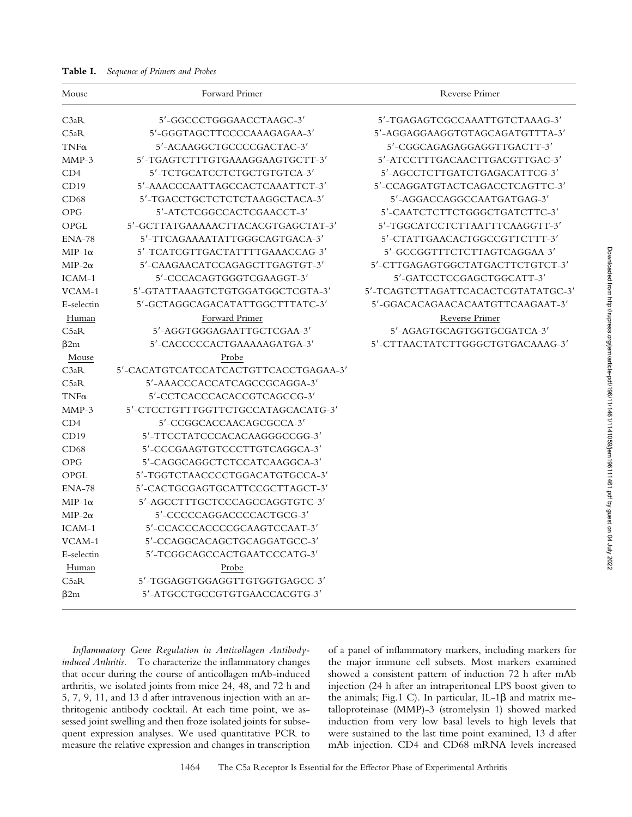**Table I.** *Sequence of Primers and Probes*

| Mouse         | Forward Primer                        | Reverse Primer                     |
|---------------|---------------------------------------|------------------------------------|
| C3aR          | 5'-GGCCCTGGGAACCTAAGC-3'              | 5'-TGAGAGTCGCCAAATTGTCTAAAG-3'     |
| C5aR          | 5'-GGGTAGCTTCCCCAAAGAGAA-3'           | 5'-AGGAGGAAGGTGTAGCAGATGTTTA-3'    |
| $TNF\alpha$   | 5'-ACAAGGCTGCCCCGACTAC-3'             | 5'-CGGCAGAGAGGAGGTTGACTT-3'        |
| $MMP-3$       | 5'-TGAGTCTTTGTGAAAGGAAGTGCTT-3'       | 5'-ATCCTTTGACAACTTGACGTTGAC-3'     |
| CD4           | 5'-TCTGCATCCTCTGCTGTGTCA-3'           | 5'-AGCCTCTTGATCTGAGACATTCG-3'      |
| CD19          | 5'-AAACCCAATTAGCCACTCAAATTCT-3'       | 5'-CCAGGATGTACTCAGACCTCAGTTC-3'    |
| CD68          | 5'-TGACCTGCTCTCTCTAAGGCTACA-3'        | 5'-AGGACCAGGCCAATGATGAG-3'         |
| <b>OPG</b>    | 5'-ATCTCGGCCACTCGAACCT-3'             | 5'-CAATCTCTTCTGGGCTGATCTTC-3'      |
| OPGL          | 5'-GCTTATGAAAAACTTACACGTGAGCTAT-3'    | 5'-TGGCATCCTCTTAATTTCAAGGTT-3'     |
| $ENA-78$      | 5'-TTCAGAAAATATTGGGCAGTGACA-3'        | 5'-CTATTGAACACTGGCCGTTCTTT-3'      |
| $MIP-1\alpha$ | 5'-TCATCGTTGACTATTTTGAAACCAG-3'       | 5'-GCCGGTTTCTCTTAGTCAGGAA-3'       |
| $MIP-2\alpha$ | 5'-CAAGAACATCCAGAGCTTGAGTGT-3'        | 5'-CTTGAGAGTGGCTATGACTTCTGTCT-3'   |
| ICAM-1        | 5'-CCCACAGTGGGTCGAAGGT-3'             | 5'-GATCCTCCGAGCTGGCATT-3'          |
| VCAM-1        | 5'-GTATTAAAGTCTGTGGATGGCTCGTA-3'      | 5'-TCAGTCTTAGATTCACACTCGTATATGC-3' |
| E-selectin    | 5'-GCTAGGCAGACATATTGGCTTTATC-3'       | 5'-GGACACAGAACACAATGTTCAAGAAT-3'   |
| Human         | Forward Primer                        | Reverse Primer                     |
| C5aR          | 5'-AGGTGGGAGAATTGCTCGAA-3'            | 5'-AGAGTGCAGTGGTGCGATCA-3'         |
| $\beta$ 2m    | 5'-CACCCCCACTGAAAAAGATGA-3'           | 5'-CTTAACTATCTTGGGCTGTGACAAAG-3'   |
| Mouse         | Probe                                 |                                    |
| C3aR          | 5'-CACATGTCATCCATCACTGTTCACCTGAGAA-3' |                                    |
| C5aR          | 5'-AAACCCACCATCAGCCGCAGGA-3'          |                                    |
| $TNF\alpha$   | 5'-CCTCACCCACACCGTCAGCCG-3'           |                                    |
| $MMP-3$       | 5'-CTCCTGTTTGGTTCTGCCATAGCACATG-3'    |                                    |
| CD4           | 5'-CCGGCACCAACAGCGCCA-3'              |                                    |
| CD19          | 5'-TTCCTATCCCACACAAGGGCCGG-3'         |                                    |
| CD68          | 5'-CCCGAAGTGTCCCTTGTCAGGCA-3'         |                                    |
| <b>OPG</b>    | 5'-CAGGCAGGCTCTCCATCAAGGCA-3'         |                                    |
| OPGL          | 5'-TGGTCTAACCCCTGGACATGTGCCA-3'       |                                    |
| $ENA-78$      | 5'-CACTGCGAGTGCATTCCGCTTAGCT-3'       |                                    |
| $MIP-1\alpha$ | 5'-AGCCTTTGCTCCCAGCCAGGTGTC-3'        |                                    |
| $MIP-2\alpha$ | 5'-CCCCCAGGACCCCACTGCG-3'             |                                    |
| ICAM-1        | 5'-CCACCCACCCCGCAAGTCCAAT-3'          |                                    |
| VCAM-1        | 5'-CCAGGCACAGCTGCAGGATGCC-3'          |                                    |
| E-selectin    | 5'-TCGGCAGCCACTGAATCCCATG-3'          |                                    |
| Human         | Probe                                 |                                    |
| C5aR          | 5'-TGGAGGTGGAGGTTGTGGTGAGCC-3'        |                                    |
| $\beta$ 2m    | 5'-ATGCCTGCCGTGTGAACCACGTG-3'         |                                    |

*Inflammatory Gene Regulation in Anticollagen Antibodyinduced Arthritis.* To characterize the inflammatory changes that occur during the course of anticollagen mAb-induced arthritis, we isolated joints from mice 24, 48, and 72 h and 5, 7, 9, 11, and 13 d after intravenous injection with an arthritogenic antibody cocktail. At each time point, we assessed joint swelling and then froze isolated joints for subsequent expression analyses. We used quantitative PCR to measure the relative expression and changes in transcription of a panel of inflammatory markers, including markers for the major immune cell subsets. Most markers examined showed a consistent pattern of induction 72 h after mAb injection (24 h after an intraperitoneal LPS boost given to the animals; Fig.1 C). In particular, IL-1 $\beta$  and matrix metalloproteinase (MMP)-3 (stromelysin 1) showed marked induction from very low basal levels to high levels that were sustained to the last time point examined, 13 d after mAb injection. CD4 and CD68 mRNA levels increased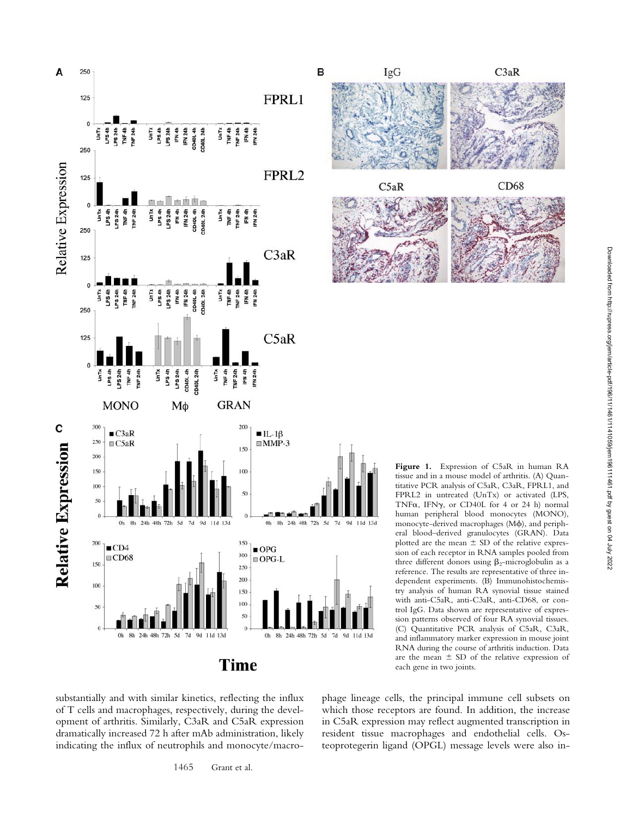



**Figure 1.** Expression of C5aR in human RA tissue and in a mouse model of arthritis. (A) Quantitative PCR analysis of C5aR, C3aR, FPRL1, and FPRL2 in untreated (UnTx) or activated (LPS, TNF $\alpha$ , IFN $\gamma$ , or CD40L for 4 or 24 h) normal human peripheral blood monocytes (MONO), monocyte-derived macrophages (M), and peripheral blood–derived granulocytes (GRAN). Data plotted are the mean  $\pm$  SD of the relative expression of each receptor in RNA samples pooled from three different donors using  $\beta_2$ -microglobulin as a reference. The results are representative of three independent experiments. (B) Immunohistochemistry analysis of human RA synovial tissue stained with anti-C5aR, anti-C3aR, anti-CD68, or control IgG. Data shown are representative of expression patterns observed of four RA synovial tissues. (C) Quantitative PCR analysis of C5aR, C3aR, and inflammatory marker expression in mouse joint RNA during the course of arthritis induction. Data are the mean  $\pm$  SD of the relative expression of each gene in two joints.

substantially and with similar kinetics, reflecting the influx of T cells and macrophages, respectively, during the development of arthritis. Similarly, C3aR and C5aR expression dramatically increased 72 h after mAb administration, likely indicating the influx of neutrophils and monocyte/macrophage lineage cells, the principal immune cell subsets on which those receptors are found. In addition, the increase in C5aR expression may reflect augmented transcription in resident tissue macrophages and endothelial cells. Osteoprotegerin ligand (OPGL) message levels were also in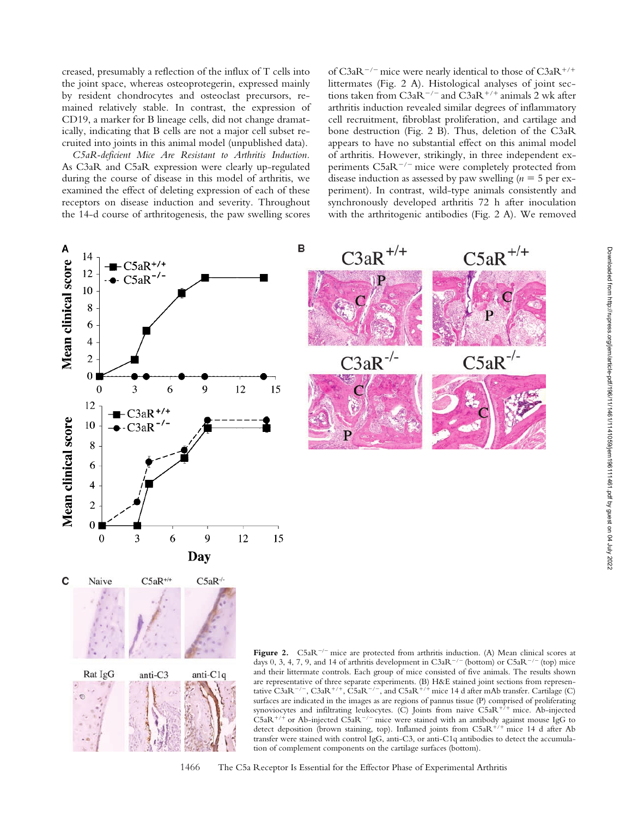creased, presumably a reflection of the influx of T cells into the joint space, whereas osteoprotegerin, expressed mainly by resident chondrocytes and osteoclast precursors, remained relatively stable. In contrast, the expression of CD19, a marker for B lineage cells, did not change dramatically, indicating that B cells are not a major cell subset recruited into joints in this animal model (unpublished data).

*C5aR-deficient Mice Are Resistant to Arthritis Induction.* As C3aR and C5aR expression were clearly up-regulated during the course of disease in this model of arthritis, we examined the effect of deleting expression of each of these receptors on disease induction and severity. Throughout the 14-d course of arthritogenesis, the paw swelling scores

of C3aR<sup>-/-</sup> mice were nearly identical to those of C3aR<sup>+/+</sup> littermates (Fig. 2 A). Histological analyses of joint sections taken from  $C3aR^{-/-}$  and  $C3aR^{+/+}$  animals 2 wk after arthritis induction revealed similar degrees of inflammatory cell recruitment, fibroblast proliferation, and cartilage and bone destruction (Fig. 2 B). Thus, deletion of the C3aR appears to have no substantial effect on this animal model of arthritis. However, strikingly, in three independent experiments  $C5aR^{-/-}$  mice were completely protected from disease induction as assessed by paw swelling ( $n = 5$  per experiment). In contrast, wild-type animals consistently and synchronously developed arthritis 72 h after inoculation with the arthritogenic antibodies (Fig. 2 A). We removed



surfaces are indicated in the images as are regions of pannus tissue (P) comprised of proliferating synoviocytes and infiltrating leukocytes. (C) Joints from naive  $C5aR^{+/+}$  mice. Ab-injected  $CSaR^{+/+}$  or Ab-injected  $CSaR^{-/-}$  mice were stained with an antibody against mouse IgG to detect deposition (brown staining, top). Inflamed joints from  $C5aR^{+/+}$  mice 14 d after Ab transfer were stained with control IgG, anti-C3, or anti-C1q antibodies to detect the accumulation of complement components on the cartilage surfaces (bottom).

1466 The C5a Receptor Is Essential for the Effector Phase of Experimental Arthritis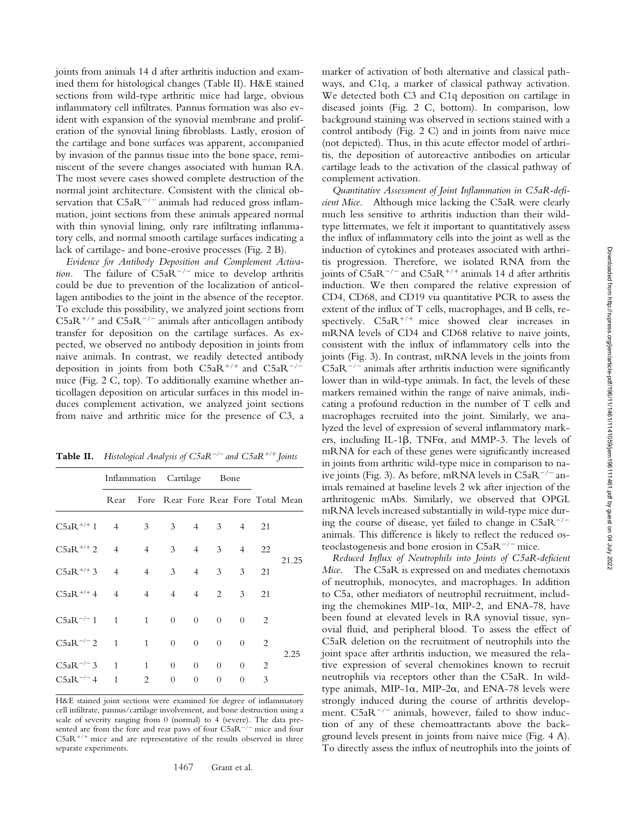joints from animals 14 d after arthritis induction and examined them for histological changes (Table II). H&E stained sections from wild-type arthritic mice had large, obvious inflammatory cell infiltrates. Pannus formation was also evident with expansion of the synovial membrane and proliferation of the synovial lining fibroblasts. Lastly, erosion of the cartilage and bone surfaces was apparent, accompanied by invasion of the pannus tissue into the bone space, reminiscent of the severe changes associated with human RA. The most severe cases showed complete destruction of the normal joint architecture. Consistent with the clinical observation that  $C5aR^{-/-}$  animals had reduced gross inflammation, joint sections from these animals appeared normal with thin synovial lining, only rare infiltrating inflammatory cells, and normal smooth cartilage surfaces indicating a lack of cartilage- and bone-erosive processes (Fig. 2 B).

*Evidence for Antibody Deposition and Complement Activation.* The failure of  $C5aR^{-/-}$  mice to develop arthritis could be due to prevention of the localization of anticollagen antibodies to the joint in the absence of the receptor. To exclude this possibility, we analyzed joint sections from  $C5aR^{+/+}$  and  $C5aR^{-/-}$  animals after anticollagen antibody transfer for deposition on the cartilage surfaces. As expected, we observed no antibody deposition in joints from naive animals. In contrast, we readily detected antibody deposition in joints from both  $C5aR^{+/+}$  and  $C5aR^{-/-}$ mice (Fig. 2 C, top). To additionally examine whether anticollagen deposition on articular surfaces in this model induces complement activation, we analyzed joint sections from naive and arthritic mice for the presence of C3, a

| <b>Table II.</b> Histological Analysis of $C5aR^{-/-}$ and $C5aR^{+/+}$ Joints |  |
|--------------------------------------------------------------------------------|--|
|--------------------------------------------------------------------------------|--|

|                                   | Inflammation Cartilage Bone |                                          |                                  |                                  |                      |                                        |        |       |
|-----------------------------------|-----------------------------|------------------------------------------|----------------------------------|----------------------------------|----------------------|----------------------------------------|--------|-------|
|                                   |                             | Rear Fore Rear Fore Rear Fore Total Mean |                                  |                                  |                      |                                        |        |       |
| $C5aR^{+/+}1$ 4 3 3 4 3 4 21      |                             |                                          |                                  |                                  |                      |                                        |        | 21.25 |
| $C5aR^{+/+}2$ 4                   |                             | 4 3 4 3 4 22                             |                                  |                                  |                      |                                        |        |       |
| $C5aR^{+/+}3$ 4                   |                             | $\overline{4}$                           |                                  | $3 \t 4$                         | 3 <sup>7</sup>       | 3 <sup>1</sup>                         | 21     |       |
| $C5aR^{+/+}4$ 4                   |                             | $\overline{4}$                           |                                  |                                  | $4 \t 4 \t 2$        | $\mathbf{3}$                           | 21     |       |
| $C5aR^{-/-}1 \t1 \t1$             |                             |                                          | $\overline{0}$                   | $\overline{0}$                   | $\overline{0}$       | $\begin{array}{ccc} 0 & 2 \end{array}$ |        |       |
| $C5aR^{-/-}2 = 1$                 |                             | $\mathbf{1}$                             | $\overline{0}$                   | $\overline{0}$                   | $\overline{0}$       | $\overline{0}$                         | 2      | 2.25  |
| $C5aR^{-/-}3$ 1<br>$C5aR^{-/-}$ 4 | 1                           | $\mathbf{1}$<br>2                        | $\overline{0}$<br>$\overline{0}$ | $\overline{0}$<br>$\overline{0}$ | $\Omega$<br>$\theta$ | $\hspace{0.6cm}0$<br>$\overline{0}$    | 2<br>3 |       |

H&E stained joint sections were examined for degree of inflammatory cell infiltrate, pannus/cartilage involvement, and bone destruction using a scale of severity ranging from 0 (normal) to 4 (severe). The data presented are from the fore and rear paws of four  $C5aR^{-/-}$  mice and four  $C5aR^{+/+}$  mice and are representative of the results observed in three separate experiments.

marker of activation of both alternative and classical pathways, and C1q, a marker of classical pathway activation. We detected both C3 and C1q deposition on cartilage in diseased joints (Fig. 2 C, bottom). In comparison, low background staining was observed in sections stained with a control antibody (Fig. 2 C) and in joints from naive mice (not depicted). Thus, in this acute effector model of arthritis, the deposition of autoreactive antibodies on articular cartilage leads to the activation of the classical pathway of complement activation.

*Quantitative Assessment of Joint Inflammation in C5aR-deficient Mice.* Although mice lacking the C5aR were clearly much less sensitive to arthritis induction than their wildtype littermates, we felt it important to quantitatively assess the influx of inflammatory cells into the joint as well as the induction of cytokines and proteases associated with arthritis progression. Therefore, we isolated RNA from the joints of  $C5aR^{-/-}$  and  $C5aR^{+/+}$  animals 14 d after arthritis induction. We then compared the relative expression of CD4, CD68, and CD19 via quantitative PCR to assess the extent of the influx of T cells, macrophages, and B cells, respectively.  $C5aR^{+/+}$  mice showed clear increases in mRNA levels of CD4 and CD68 relative to naive joints, consistent with the influx of inflammatory cells into the joints (Fig. 3). In contrast, mRNA levels in the joints from  $C5aR^{-/-}$  animals after arthritis induction were significantly lower than in wild-type animals. In fact, the levels of these markers remained within the range of naive animals, indicating a profound reduction in the number of T cells and macrophages recruited into the joint. Similarly, we analyzed the level of expression of several inflammatory markers, including IL-1 $\beta$ , TNF $\alpha$ , and MMP-3. The levels of mRNA for each of these genes were significantly increased in joints from arthritic wild-type mice in comparison to naive joints (Fig. 3). As before, mRNA levels in  $C5aR^{-/-}$  animals remained at baseline levels 2 wk after injection of the arthritogenic mAbs. Similarly, we observed that OPGL mRNA levels increased substantially in wild-type mice during the course of disease, yet failed to change in  $C5aR^{-/-}$ animals. This difference is likely to reflect the reduced osteoclastogenesis and bone erosion in  $C5aR^{-/-}$  mice.

*Reduced Influx of Neutrophils into Joints of C5aR-deficient Mice.* The C5aR is expressed on and mediates chemotaxis of neutrophils, monocytes, and macrophages. In addition to C5a, other mediators of neutrophil recruitment, including the chemokines MIP-1 $\alpha$ , MIP-2, and ENA-78, have been found at elevated levels in RA synovial tissue, synovial fluid, and peripheral blood. To assess the effect of C5aR deletion on the recruitment of neutrophils into the joint space after arthritis induction, we measured the relative expression of several chemokines known to recruit neutrophils via receptors other than the C5aR. In wildtype animals, MIP-1 $\alpha$ , MIP-2 $\alpha$ , and ENA-78 levels were strongly induced during the course of arthritis development.  $C5aR^{-/-}$  animals, however, failed to show induction of any of these chemoattractants above the background levels present in joints from naive mice (Fig. 4 A). To directly assess the influx of neutrophils into the joints of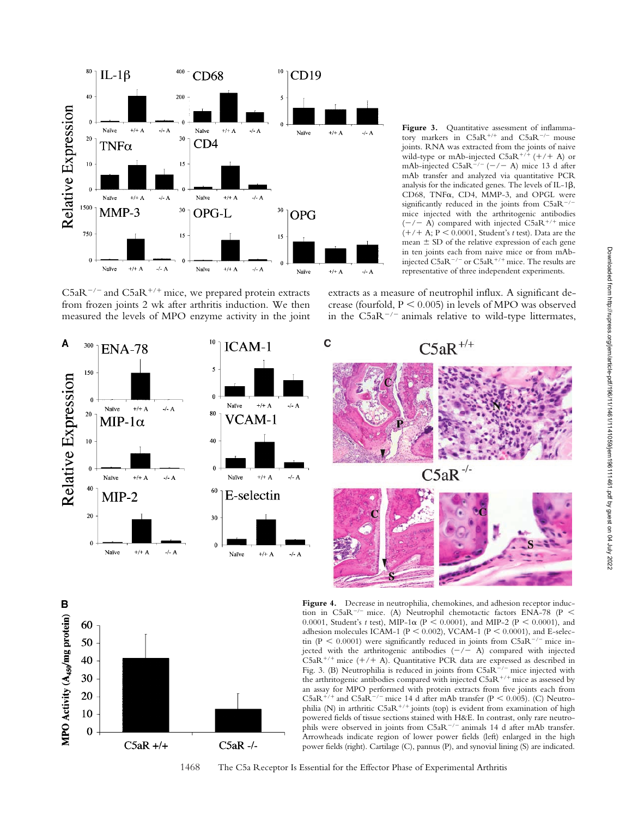

 $C5aR^{-/-}$  and  $C5aR^{+/+}$  mice, we prepared protein extracts from frozen joints 2 wk after arthritis induction. We then measured the levels of MPO enzyme activity in the joint

Figure 3. Quantitative assessment of inflammatory markers in  $C5aR^{+/+}$  and  $C5aR^{-/-}$  mouse joints. RNA was extracted from the joints of naive wild-type or mAb-injected  $C5aR^{+/+}$  (+/+ A) or mAb-injected  $C5aR^{-/-}$  (-/- A) mice 13 d after mAb transfer and analyzed via quantitative PCR analysis for the indicated genes. The levels of IL-1 $\beta$ , CD68, TNF $\alpha$ , CD4, MMP-3, and OPGL were significantly reduced in the joints from  $C5aR^{-/-}$ mice injected with the arthritogenic antibodies  $(-/- A)$  compared with injected C5aR<sup>+/+</sup> mice  $(+/ + A; P < 0.0001$ , Student's *t* test). Data are the mean  $\pm$  SD of the relative expression of each gene in ten joints each from naive mice or from mAbinjected  $C5aR^{-/-}$  or  $C5aR^{+/+}$  mice. The results are representative of three independent experiments.

extracts as a measure of neutrophil influx. A significant decrease (fourfold,  $P \le 0.005$ ) in levels of MPO was observed in the  $C5aR^{-/-}$  animals relative to wild-type littermates,





Figure 4. Decrease in neutrophilia, chemokines, and adhesion receptor induction in C5aR<sup>-/-</sup> mice. (A) Neutrophil chemotactic factors ENA-78 (P < 0.0001, Student's *t* test), MIP-1 $\alpha$  (P < 0.0001), and MIP-2 (P < 0.0001), and adhesion molecules ICAM-1 ( $P < 0.002$ ), VCAM-1 ( $P < 0.0001$ ), and E-selectin (P < 0.0001) were significantly reduced in joints from C5aR<sup>-/-</sup> mice injected with the arthritogenic antibodies  $(-/- A)$  compared with injected  $CSaR^{+/+}$  mice  $(+/+A)$ . Quantitative PCR data are expressed as described in Fig. 3. (B) Neutrophilia is reduced in joints from  $C5aR^{-/-}$  mice injected with the arthritogenic antibodies compared with injected  $CSaR^{+/+}$  mice as assessed by an assay for MPO performed with protein extracts from five joints each from  $C5aR^{+/+}$  and  $C5aR^{-/-}$  mice 14 d after mAb transfer (P < 0.005). (C) Neutrophilia (N) in arthritic  $C5aR^{+/+}$  joints (top) is evident from examination of high powered fields of tissue sections stained with H&E. In contrast, only rare neutrophils were observed in joints from  $C5aR^{-/-}$  animals 14 d after mAb transfer. Arrowheads indicate region of lower power fields (left) enlarged in the high power fields (right). Cartilage (C), pannus (P), and synovial lining (S) are indicated.

1468 The C5a Receptor Is Essential for the Effector Phase of Experimental Arthritis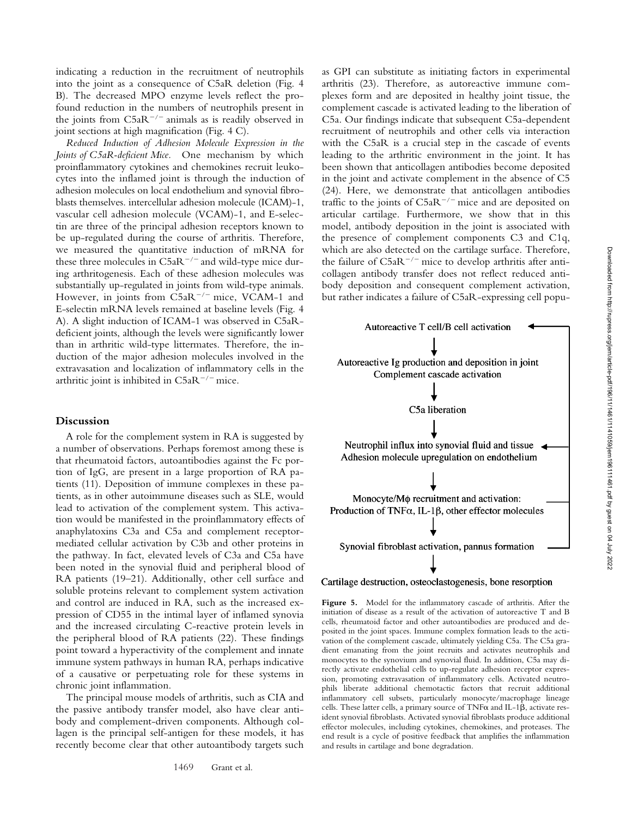indicating a reduction in the recruitment of neutrophils into the joint as a consequence of C5aR deletion (Fig. 4 B). The decreased MPO enzyme levels reflect the profound reduction in the numbers of neutrophils present in the joints from  $C5aR^{-/-}$  animals as is readily observed in joint sections at high magnification (Fig. 4 C).

*Reduced Induction of Adhesion Molecule Expression in the Joints of C5aR-deficient Mice.* One mechanism by which proinflammatory cytokines and chemokines recruit leukocytes into the inflamed joint is through the induction of adhesion molecules on local endothelium and synovial fibroblasts themselves. intercellular adhesion molecule (ICAM)-1, vascular cell adhesion molecule (VCAM)-1, and E-selectin are three of the principal adhesion receptors known to be up-regulated during the course of arthritis. Therefore, we measured the quantitative induction of mRNA for these three molecules in  $C5aR^{-/-}$  and wild-type mice during arthritogenesis. Each of these adhesion molecules was substantially up-regulated in joints from wild-type animals. However, in joints from  $C5aR^{-/-}$  mice, VCAM-1 and E-selectin mRNA levels remained at baseline levels (Fig. 4 A). A slight induction of ICAM-1 was observed in C5aRdeficient joints, although the levels were significantly lower than in arthritic wild-type littermates. Therefore, the induction of the major adhesion molecules involved in the extravasation and localization of inflammatory cells in the arthritic joint is inhibited in  $C5aR^{-/-}$  mice.

#### **Discussion**

A role for the complement system in RA is suggested by a number of observations. Perhaps foremost among these is that rheumatoid factors, autoantibodies against the Fc portion of IgG, are present in a large proportion of RA patients (11). Deposition of immune complexes in these patients, as in other autoimmune diseases such as SLE, would lead to activation of the complement system. This activation would be manifested in the proinflammatory effects of anaphylatoxins C3a and C5a and complement receptormediated cellular activation by C3b and other proteins in the pathway. In fact, elevated levels of C3a and C5a have been noted in the synovial fluid and peripheral blood of RA patients (19–21). Additionally, other cell surface and soluble proteins relevant to complement system activation and control are induced in RA, such as the increased expression of CD55 in the intimal layer of inflamed synovia and the increased circulating C-reactive protein levels in the peripheral blood of RA patients (22). These findings point toward a hyperactivity of the complement and innate immune system pathways in human RA, perhaps indicative of a causative or perpetuating role for these systems in chronic joint inflammation.

The principal mouse models of arthritis, such as CIA and the passive antibody transfer model, also have clear antibody and complement-driven components. Although collagen is the principal self-antigen for these models, it has recently become clear that other autoantibody targets such as GPI can substitute as initiating factors in experimental arthritis (23). Therefore, as autoreactive immune complexes form and are deposited in healthy joint tissue, the complement cascade is activated leading to the liberation of C5a. Our findings indicate that subsequent C5a-dependent recruitment of neutrophils and other cells via interaction with the C5aR is a crucial step in the cascade of events leading to the arthritic environment in the joint. It has been shown that anticollagen antibodies become deposited in the joint and activate complement in the absence of C5 (24). Here, we demonstrate that anticollagen antibodies traffic to the joints of  $C5aR^{-/-}$  mice and are deposited on articular cartilage. Furthermore, we show that in this model, antibody deposition in the joint is associated with the presence of complement components C3 and C1q, which are also detected on the cartilage surface. Therefore, the failure of  $C5aR^{-/-}$  mice to develop arthritis after anticollagen antibody transfer does not reflect reduced antibody deposition and consequent complement activation, but rather indicates a failure of C5aR-expressing cell popu-



### Cartilage destruction, osteoclastogenesis, bone resorption

Figure 5. Model for the inflammatory cascade of arthritis. After the initiation of disease as a result of the activation of autoreactive T and B cells, rheumatoid factor and other autoantibodies are produced and deposited in the joint spaces. Immune complex formation leads to the activation of the complement cascade, ultimately yielding C5a. The C5a gradient emanating from the joint recruits and activates neutrophils and monocytes to the synovium and synovial fluid. In addition, C5a may directly activate endothelial cells to up-regulate adhesion receptor expression, promoting extravasation of inflammatory cells. Activated neutrophils liberate additional chemotactic factors that recruit additional inflammatory cell subsets, particularly monocyte/macrophage lineage cells. These latter cells, a primary source of  $TNF\alpha$  and IL-1 $\beta$ , activate resident synovial fibroblasts. Activated synovial fibroblasts produce additional effector molecules, including cytokines, chemokines, and proteases. The end result is a cycle of positive feedback that amplifies the inflammation and results in cartilage and bone degradation.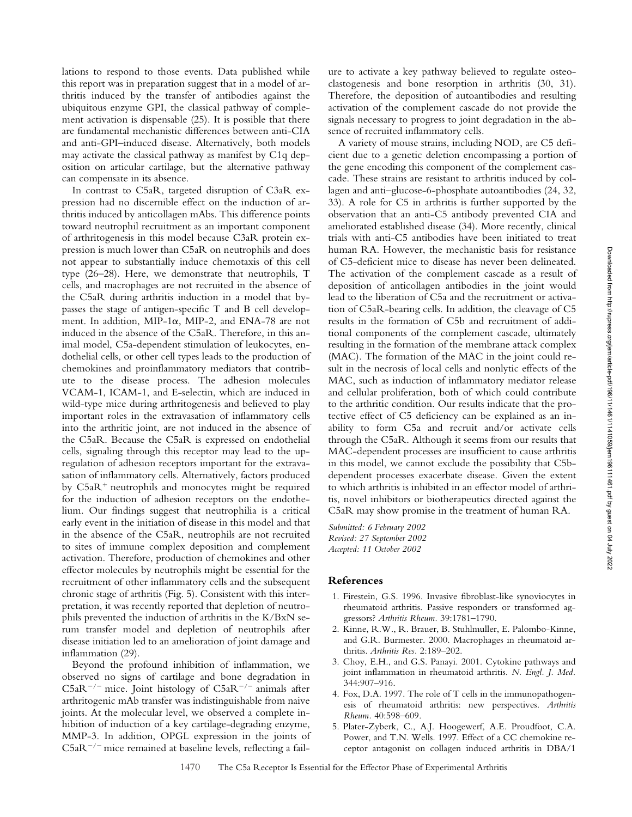lations to respond to those events. Data published while this report was in preparation suggest that in a model of arthritis induced by the transfer of antibodies against the ubiquitous enzyme GPI, the classical pathway of complement activation is dispensable (25). It is possible that there are fundamental mechanistic differences between anti-CIA and anti-GPI–induced disease. Alternatively, both models may activate the classical pathway as manifest by C1q deposition on articular cartilage, but the alternative pathway can compensate in its absence.

In contrast to C5aR, targeted disruption of C3aR expression had no discernible effect on the induction of arthritis induced by anticollagen mAbs. This difference points toward neutrophil recruitment as an important component of arthritogenesis in this model because C3aR protein expression is much lower than C5aR on neutrophils and does not appear to substantially induce chemotaxis of this cell type (26–28). Here, we demonstrate that neutrophils, T cells, and macrophages are not recruited in the absence of the C5aR during arthritis induction in a model that bypasses the stage of antigen-specific T and B cell development. In addition, MIP-1 $\alpha$ , MIP-2, and ENA-78 are not induced in the absence of the C5aR. Therefore, in this animal model, C5a-dependent stimulation of leukocytes, endothelial cells, or other cell types leads to the production of chemokines and proinflammatory mediators that contribute to the disease process. The adhesion molecules VCAM-1, ICAM-1, and E-selectin, which are induced in wild-type mice during arthritogenesis and believed to play important roles in the extravasation of inflammatory cells into the arthritic joint, are not induced in the absence of the C5aR. Because the C5aR is expressed on endothelial cells, signaling through this receptor may lead to the upregulation of adhesion receptors important for the extravasation of inflammatory cells. Alternatively, factors produced by  $C5aR<sup>+</sup>$  neutrophils and monocytes might be required for the induction of adhesion receptors on the endothelium. Our findings suggest that neutrophilia is a critical early event in the initiation of disease in this model and that in the absence of the C5aR, neutrophils are not recruited to sites of immune complex deposition and complement activation. Therefore, production of chemokines and other effector molecules by neutrophils might be essential for the recruitment of other inflammatory cells and the subsequent chronic stage of arthritis (Fig. 5). Consistent with this interpretation, it was recently reported that depletion of neutrophils prevented the induction of arthritis in the K/BxN serum transfer model and depletion of neutrophils after disease initiation led to an amelioration of joint damage and inflammation (29).

Beyond the profound inhibition of inflammation, we observed no signs of cartilage and bone degradation in  $C5aR^{-/-}$  mice. Joint histology of  $C5aR^{-/-}$  animals after arthritogenic mAb transfer was indistinguishable from naive joints. At the molecular level, we observed a complete inhibition of induction of a key cartilage-degrading enzyme, MMP-3. In addition, OPGL expression in the joints of  $C5aR^{-/-}$  mice remained at baseline levels, reflecting a failure to activate a key pathway believed to regulate osteoclastogenesis and bone resorption in arthritis (30, 31). Therefore, the deposition of autoantibodies and resulting activation of the complement cascade do not provide the signals necessary to progress to joint degradation in the absence of recruited inflammatory cells.

A variety of mouse strains, including NOD, are C5 deficient due to a genetic deletion encompassing a portion of the gene encoding this component of the complement cascade. These strains are resistant to arthritis induced by collagen and anti–glucose-6-phosphate autoantibodies (24, 32, 33). A role for C5 in arthritis is further supported by the observation that an anti-C5 antibody prevented CIA and ameliorated established disease (34). More recently, clinical trials with anti-C5 antibodies have been initiated to treat human RA. However, the mechanistic basis for resistance of C5-deficient mice to disease has never been delineated. The activation of the complement cascade as a result of deposition of anticollagen antibodies in the joint would lead to the liberation of C5a and the recruitment or activation of C5aR-bearing cells. In addition, the cleavage of C5 results in the formation of C5b and recruitment of additional components of the complement cascade, ultimately resulting in the formation of the membrane attack complex (MAC). The formation of the MAC in the joint could result in the necrosis of local cells and nonlytic effects of the MAC, such as induction of inflammatory mediator release and cellular proliferation, both of which could contribute to the arthritic condition. Our results indicate that the protective effect of C5 deficiency can be explained as an inability to form C5a and recruit and/or activate cells through the C5aR. Although it seems from our results that MAC-dependent processes are insufficient to cause arthritis in this model, we cannot exclude the possibility that C5bdependent processes exacerbate disease. Given the extent to which arthritis is inhibited in an effector model of arthritis, novel inhibitors or biotherapeutics directed against the C5aR may show promise in the treatment of human RA.

*Submitted: 6 February 2002 Revised: 27 September 2002 Accepted: 11 October 2002*

#### **References**

- 1. Firestein, G.S. 1996. Invasive fibroblast-like synoviocytes in rheumatoid arthritis. Passive responders or transformed aggressors? *Arthritis Rheum.* 39:1781–1790.
- 2. Kinne, R.W., R. Brauer, B. Stuhlmuller, E. Palombo-Kinne, and G.R. Burmester. 2000. Macrophages in rheumatoid arthritis. *Arthritis Res.* 2:189–202.
- 3. Choy, E.H., and G.S. Panayi. 2001. Cytokine pathways and joint inflammation in rheumatoid arthritis. *N. Engl. J. Med.* 344:907–916.
- 4. Fox, D.A. 1997. The role of T cells in the immunopathogenesis of rheumatoid arthritis: new perspectives. *Arthritis Rheum.* 40:598–609.
- 5. Plater-Zyberk, C., A.J. Hoogewerf, A.E. Proudfoot, C.A. Power, and T.N. Wells. 1997. Effect of a CC chemokine receptor antagonist on collagen induced arthritis in DBA/1